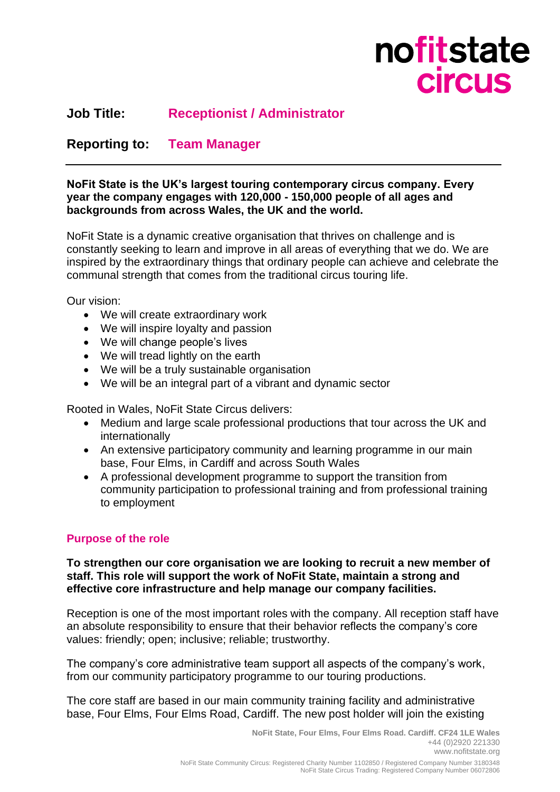

# **Job Title: Receptionist / Administrator**

# **Reporting to: Team Manager**

#### **NoFit State is the UK's largest touring contemporary circus company. Every year the company engages with 120,000 - 150,000 people of all ages and backgrounds from across Wales, the UK and the world.**

NoFit State is a dynamic creative organisation that thrives on challenge and is constantly seeking to learn and improve in all areas of everything that we do. We are inspired by the extraordinary things that ordinary people can achieve and celebrate the communal strength that comes from the traditional circus touring life.

Our vision:

- We will create extraordinary work
- We will inspire loyalty and passion
- We will change people's lives
- We will tread lightly on the earth
- We will be a truly sustainable organisation
- We will be an integral part of a vibrant and dynamic sector

Rooted in Wales, NoFit State Circus delivers:

- Medium and large scale professional productions that tour across the UK and internationally
- An extensive participatory community and learning programme in our main base, Four Elms, in Cardiff and across South Wales
- A professional development programme to support the transition from community participation to professional training and from professional training to employment

#### **Purpose of the role**

#### **To strengthen our core organisation we are looking to recruit a new member of staff. This role will support the work of NoFit State, maintain a strong and effective core infrastructure and help manage our company facilities.**

Reception is one of the most important roles with the company. All reception staff have an absolute responsibility to ensure that their behavior reflects the company's core values: friendly; open; inclusive; reliable; trustworthy.

The company's core administrative team support all aspects of the company's work, from our community participatory programme to our touring productions.

The core staff are based in our main community training facility and administrative base, Four Elms, Four Elms Road, Cardiff. The new post holder will join the existing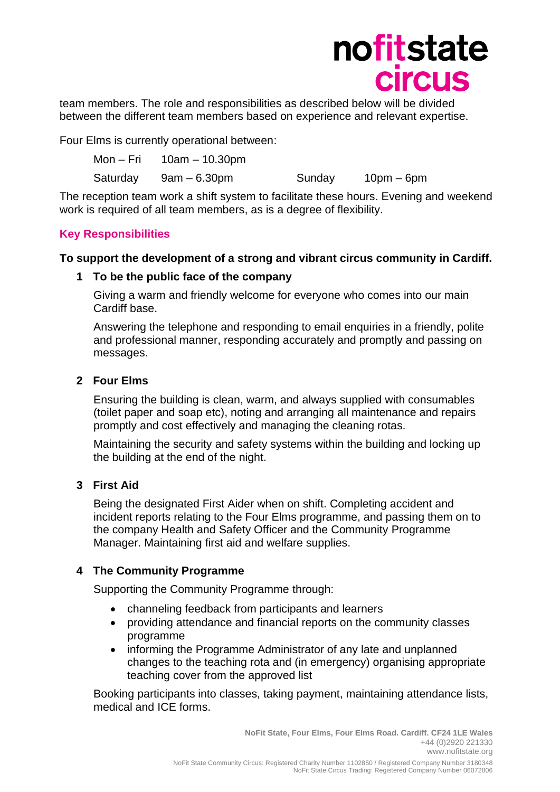

team members. The role and responsibilities as described below will be divided between the different team members based on experience and relevant expertise.

Four Elms is currently operational between:

| Mon – Fri | 10am – 10.30pm |        |            |
|-----------|----------------|--------|------------|
| Saturday  | 9am – 6.30pm   | Sunday | 10pm – 6pm |

The reception team work a shift system to facilitate these hours. Evening and weekend work is required of all team members, as is a degree of flexibility.

### **Key Responsibilities**

#### **To support the development of a strong and vibrant circus community in Cardiff.**

#### **1 To be the public face of the company**

Giving a warm and friendly welcome for everyone who comes into our main Cardiff base.

Answering the telephone and responding to email enquiries in a friendly, polite and professional manner, responding accurately and promptly and passing on messages.

#### **2 Four Elms**

Ensuring the building is clean, warm, and always supplied with consumables (toilet paper and soap etc), noting and arranging all maintenance and repairs promptly and cost effectively and managing the cleaning rotas.

Maintaining the security and safety systems within the building and locking up the building at the end of the night.

## **3 First Aid**

Being the designated First Aider when on shift. Completing accident and incident reports relating to the Four Elms programme, and passing them on to the company Health and Safety Officer and the Community Programme Manager. Maintaining first aid and welfare supplies.

#### **4 The Community Programme**

Supporting the Community Programme through:

- channeling feedback from participants and learners
- providing attendance and financial reports on the community classes programme
- informing the Programme Administrator of any late and unplanned changes to the teaching rota and (in emergency) organising appropriate teaching cover from the approved list

Booking participants into classes, taking payment, maintaining attendance lists, medical and ICE forms.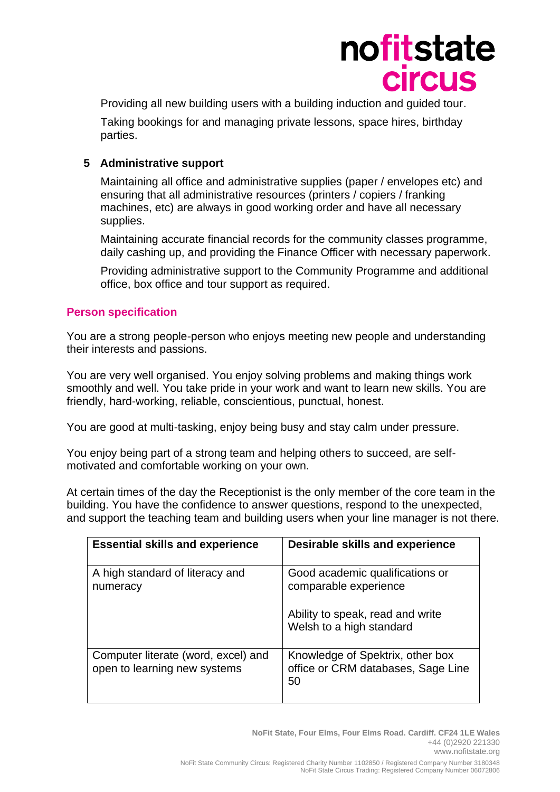

Providing all new building users with a building induction and guided tour.

Taking bookings for and managing private lessons, space hires, birthday parties.

## **5 Administrative support**

Maintaining all office and administrative supplies (paper / envelopes etc) and ensuring that all administrative resources (printers / copiers / franking machines, etc) are always in good working order and have all necessary supplies.

Maintaining accurate financial records for the community classes programme, daily cashing up, and providing the Finance Officer with necessary paperwork.

Providing administrative support to the Community Programme and additional office, box office and tour support as required.

### **Person specification**

You are a strong people-person who enjoys meeting new people and understanding their interests and passions.

You are very well organised. You enjoy solving problems and making things work smoothly and well. You take pride in your work and want to learn new skills. You are friendly, hard-working, reliable, conscientious, punctual, honest.

You are good at multi-tasking, enjoy being busy and stay calm under pressure.

You enjoy being part of a strong team and helping others to succeed, are selfmotivated and comfortable working on your own.

At certain times of the day the Receptionist is the only member of the core team in the building. You have the confidence to answer questions, respond to the unexpected, and support the teaching team and building users when your line manager is not there.

| <b>Essential skills and experience</b>                              | Desirable skills and experience                                              |
|---------------------------------------------------------------------|------------------------------------------------------------------------------|
| A high standard of literacy and<br>numeracy                         | Good academic qualifications or<br>comparable experience                     |
|                                                                     | Ability to speak, read and write<br>Welsh to a high standard                 |
| Computer literate (word, excel) and<br>open to learning new systems | Knowledge of Spektrix, other box<br>office or CRM databases, Sage Line<br>50 |